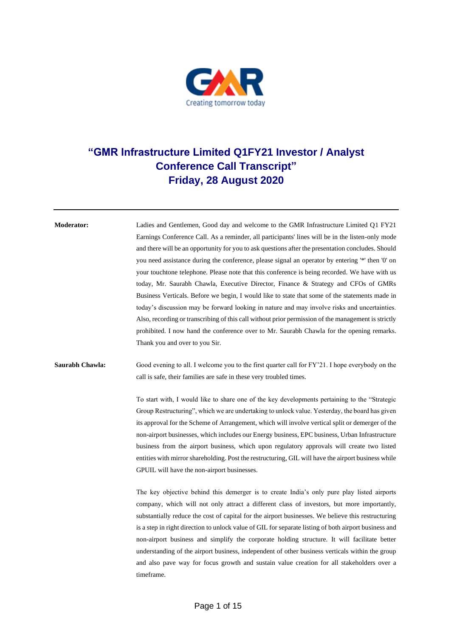

## **"GMR Infrastructure Limited Q1FY21 Investor / Analyst Conference Call Transcript" Friday, 28 August 2020**

**Moderator:** Ladies and Gentlemen, Good day and welcome to the GMR Infrastructure Limited Q1 FY21 Earnings Conference Call. As a reminder, all participants' lines will be in the listen-only mode and there will be an opportunity for you to ask questions after the presentation concludes. Should you need assistance during the conference, please signal an operator by entering '\*' then '0' on your touchtone telephone. Please note that this conference is being recorded. We have with us today, Mr. Saurabh Chawla, Executive Director, Finance & Strategy and CFOs of GMRs Business Verticals. Before we begin, I would like to state that some of the statements made in today's discussion may be forward looking in nature and may involve risks and uncertainties. Also, recording or transcribing of this call without prior permission of the management is strictly prohibited. I now hand the conference over to Mr. Saurabh Chawla for the opening remarks. Thank you and over to you Sir.

## **Saurabh Chawla:** Good evening to all. I welcome you to the first quarter call for FY'21. I hope everybody on the call is safe, their families are safe in these very troubled times.

To start with, I would like to share one of the key developments pertaining to the "Strategic Group Restructuring", which we are undertaking to unlock value. Yesterday, the board has given its approval for the Scheme of Arrangement, which will involve vertical split or demerger of the non-airport businesses, which includes our Energy business, EPC business, Urban Infrastructure business from the airport business, which upon regulatory approvals will create two listed entities with mirror shareholding. Post the restructuring, GIL will have the airport business while GPUIL will have the non-airport businesses.

The key objective behind this demerger is to create India's only pure play listed airports company, which will not only attract a different class of investors, but more importantly, substantially reduce the cost of capital for the airport businesses. We believe this restructuring is a step in right direction to unlock value of GIL for separate listing of both airport business and non-airport business and simplify the corporate holding structure. It will facilitate better understanding of the airport business, independent of other business verticals within the group and also pave way for focus growth and sustain value creation for all stakeholders over a timeframe.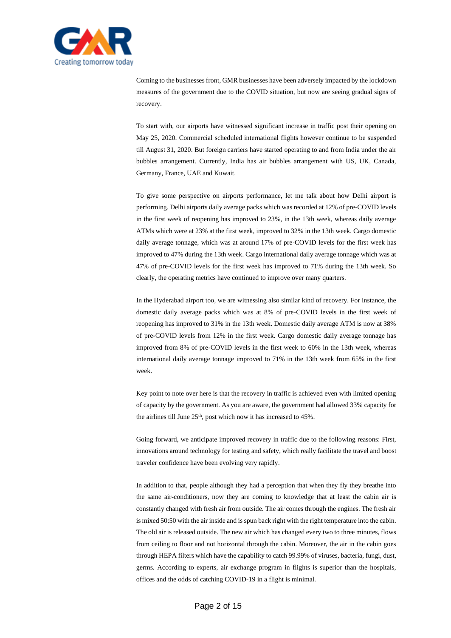

Coming to the businesses front, GMR businesses have been adversely impacted by the lockdown measures of the government due to the COVID situation, but now are seeing gradual signs of recovery.

To start with, our airports have witnessed significant increase in traffic post their opening on May 25, 2020. Commercial scheduled international flights however continue to be suspended till August 31, 2020. But foreign carriers have started operating to and from India under the air bubbles arrangement. Currently, India has air bubbles arrangement with US, UK, Canada, Germany, France, UAE and Kuwait.

To give some perspective on airports performance, let me talk about how Delhi airport is performing. Delhi airports daily average packs which was recorded at 12% of pre-COVID levels in the first week of reopening has improved to 23%, in the 13th week, whereas daily average ATMs which were at 23% at the first week, improved to 32% in the 13th week. Cargo domestic daily average tonnage, which was at around 17% of pre-COVID levels for the first week has improved to 47% during the 13th week. Cargo international daily average tonnage which was at 47% of pre-COVID levels for the first week has improved to 71% during the 13th week. So clearly, the operating metrics have continued to improve over many quarters.

In the Hyderabad airport too, we are witnessing also similar kind of recovery. For instance, the domestic daily average packs which was at 8% of pre-COVID levels in the first week of reopening has improved to 31% in the 13th week. Domestic daily average ATM is now at 38% of pre-COVID levels from 12% in the first week. Cargo domestic daily average tonnage has improved from 8% of pre-COVID levels in the first week to 60% in the 13th week, whereas international daily average tonnage improved to 71% in the 13th week from 65% in the first week.

Key point to note over here is that the recovery in traffic is achieved even with limited opening of capacity by the government. As you are aware, the government had allowed 33% capacity for the airlines till June  $25<sup>th</sup>$ , post which now it has increased to  $45\%$ .

Going forward, we anticipate improved recovery in traffic due to the following reasons: First, innovations around technology for testing and safety, which really facilitate the travel and boost traveler confidence have been evolving very rapidly.

In addition to that, people although they had a perception that when they fly they breathe into the same air-conditioners, now they are coming to knowledge that at least the cabin air is constantly changed with fresh air from outside. The air comes through the engines. The fresh air is mixed 50:50 with the air inside and is spun back right with the right temperature into the cabin. The old air is released outside. The new air which has changed every two to three minutes, flows from ceiling to floor and not horizontal through the cabin. Moreover, the air in the cabin goes through HEPA filters which have the capability to catch 99.99% of viruses, bacteria, fungi, dust, germs. According to experts, air exchange program in flights is superior than the hospitals, offices and the odds of catching COVID-19 in a flight is minimal.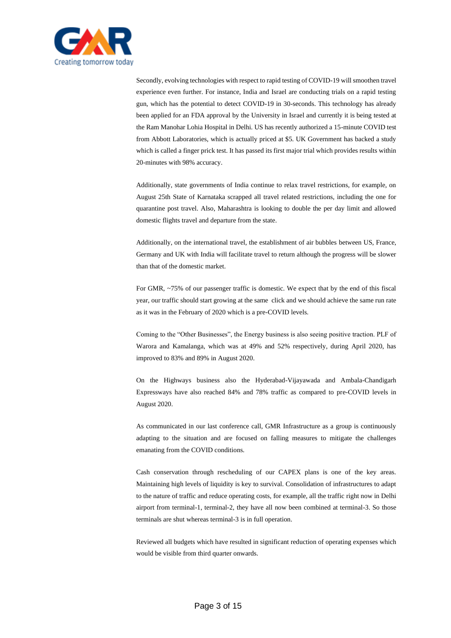

Secondly, evolving technologies with respect to rapid testing of COVID-19 will smoothen travel experience even further. For instance, India and Israel are conducting trials on a rapid testing gun, which has the potential to detect COVID-19 in 30-seconds. This technology has already been applied for an FDA approval by the University in Israel and currently it is being tested at the Ram Manohar Lohia Hospital in Delhi. US has recently authorized a 15-minute COVID test from Abbott Laboratories, which is actually priced at \$5. UK Government has backed a study which is called a finger prick test. It has passed its first major trial which provides results within 20-minutes with 98% accuracy.

Additionally, state governments of India continue to relax travel restrictions, for example, on August 25th State of Karnataka scrapped all travel related restrictions, including the one for quarantine post travel. Also, Maharashtra is looking to double the per day limit and allowed domestic flights travel and departure from the state.

Additionally, on the international travel, the establishment of air bubbles between US, France, Germany and UK with India will facilitate travel to return although the progress will be slower than that of the domestic market.

For GMR, ~75% of our passenger traffic is domestic. We expect that by the end of this fiscal year, our traffic should start growing at the same click and we should achieve the same run rate as it was in the February of 2020 which is a pre-COVID levels.

Coming to the "Other Businesses", the Energy business is also seeing positive traction. PLF of Warora and Kamalanga, which was at 49% and 52% respectively, during April 2020, has improved to 83% and 89% in August 2020.

On the Highways business also the Hyderabad-Vijayawada and Ambala-Chandigarh Expressways have also reached 84% and 78% traffic as compared to pre-COVID levels in August 2020.

As communicated in our last conference call, GMR Infrastructure as a group is continuously adapting to the situation and are focused on falling measures to mitigate the challenges emanating from the COVID conditions.

Cash conservation through rescheduling of our CAPEX plans is one of the key areas. Maintaining high levels of liquidity is key to survival. Consolidation of infrastructures to adapt to the nature of traffic and reduce operating costs, for example, all the traffic right now in Delhi airport from terminal-1, terminal-2, they have all now been combined at terminal-3. So those terminals are shut whereas terminal-3 is in full operation.

Reviewed all budgets which have resulted in significant reduction of operating expenses which would be visible from third quarter onwards.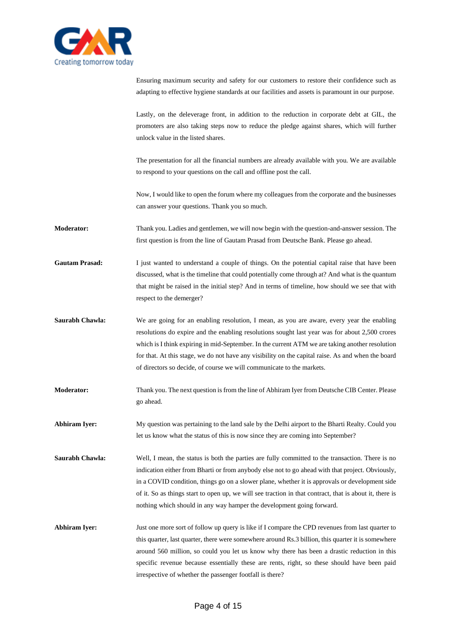

Ensuring maximum security and safety for our customers to restore their confidence such as adapting to effective hygiene standards at our facilities and assets is paramount in our purpose.

Lastly, on the deleverage front, in addition to the reduction in corporate debt at GIL, the promoters are also taking steps now to reduce the pledge against shares, which will further unlock value in the listed shares.

The presentation for all the financial numbers are already available with you. We are available to respond to your questions on the call and offline post the call.

Now, I would like to open the forum where my colleagues from the corporate and the businesses can answer your questions. Thank you so much.

**Moderator:** Thank you. Ladies and gentlemen, we will now begin with the question-and-answer session. The first question is from the line of Gautam Prasad from Deutsche Bank. Please go ahead.

Gautam Prasad: I just wanted to understand a couple of things. On the potential capital raise that have been discussed, what is the timeline that could potentially come through at? And what is the quantum that might be raised in the initial step? And in terms of timeline, how should we see that with respect to the demerger?

- **Saurabh Chawla:** We are going for an enabling resolution, I mean, as you are aware, every year the enabling resolutions do expire and the enabling resolutions sought last year was for about 2,500 crores which is I think expiring in mid-September. In the current ATM we are taking another resolution for that. At this stage, we do not have any visibility on the capital raise. As and when the board of directors so decide, of course we will communicate to the markets.
- **Moderator:** Thank you. The next question is from the line of Abhiram Iyer from Deutsche CIB Center. Please go ahead.

**Abhiram Iyer:** My question was pertaining to the land sale by the Delhi airport to the Bharti Realty. Could you let us know what the status of this is now since they are coming into September?

**Saurabh Chawla:** Well, I mean, the status is both the parties are fully committed to the transaction. There is no indication either from Bharti or from anybody else not to go ahead with that project. Obviously, in a COVID condition, things go on a slower plane, whether it is approvals or development side of it. So as things start to open up, we will see traction in that contract, that is about it, there is nothing which should in any way hamper the development going forward.

**Abhiram Iyer:** Just one more sort of follow up query is like if I compare the CPD revenues from last quarter to this quarter, last quarter, there were somewhere around Rs.3 billion, this quarter it is somewhere around 560 million, so could you let us know why there has been a drastic reduction in this specific revenue because essentially these are rents, right, so these should have been paid irrespective of whether the passenger footfall is there?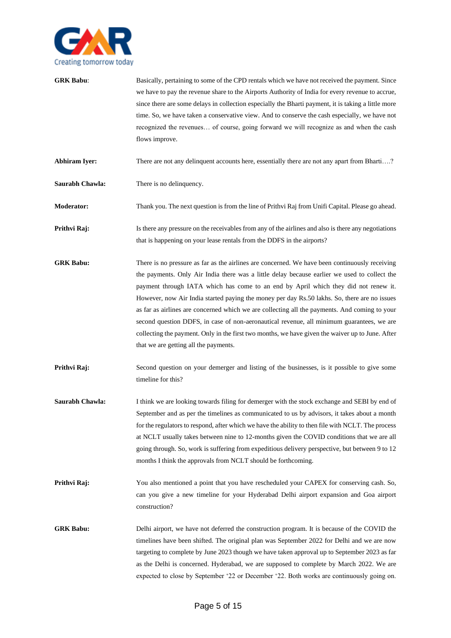

| <b>GRK Babu:</b>     | Basically, pertaining to some of the CPD rentals which we have not received the payment. Since<br>we have to pay the revenue share to the Airports Authority of India for every revenue to accrue,<br>since there are some delays in collection especially the Bharti payment, it is taking a little more<br>time. So, we have taken a conservative view. And to conserve the cash especially, we have not<br>recognized the revenues of course, going forward we will recognize as and when the cash<br>flows improve.                                                                                                                                                                                                          |
|----------------------|----------------------------------------------------------------------------------------------------------------------------------------------------------------------------------------------------------------------------------------------------------------------------------------------------------------------------------------------------------------------------------------------------------------------------------------------------------------------------------------------------------------------------------------------------------------------------------------------------------------------------------------------------------------------------------------------------------------------------------|
| <b>Abhiram Iyer:</b> | There are not any delinquent accounts here, essentially there are not any apart from Bharti?                                                                                                                                                                                                                                                                                                                                                                                                                                                                                                                                                                                                                                     |
| Saurabh Chawla:      | There is no delinquency.                                                                                                                                                                                                                                                                                                                                                                                                                                                                                                                                                                                                                                                                                                         |
| <b>Moderator:</b>    | Thank you. The next question is from the line of Prithvi Raj from Unifi Capital. Please go ahead.                                                                                                                                                                                                                                                                                                                                                                                                                                                                                                                                                                                                                                |
| Prithvi Raj:         | Is there any pressure on the receivables from any of the airlines and also is there any negotiations<br>that is happening on your lease rentals from the DDFS in the airports?                                                                                                                                                                                                                                                                                                                                                                                                                                                                                                                                                   |
| <b>GRK Babu:</b>     | There is no pressure as far as the airlines are concerned. We have been continuously receiving<br>the payments. Only Air India there was a little delay because earlier we used to collect the<br>payment through IATA which has come to an end by April which they did not renew it.<br>However, now Air India started paying the money per day Rs.50 lakhs. So, there are no issues<br>as far as airlines are concerned which we are collecting all the payments. And coming to your<br>second question DDFS, in case of non-aeronautical revenue, all minimum guarantees, we are<br>collecting the payment. Only in the first two months, we have given the waiver up to June. After<br>that we are getting all the payments. |
| Prithvi Raj:         | Second question on your demerger and listing of the businesses, is it possible to give some<br>timeline for this?                                                                                                                                                                                                                                                                                                                                                                                                                                                                                                                                                                                                                |
| Saurabh Chawla:      | I think we are looking towards filing for demerger with the stock exchange and SEBI by end of<br>September and as per the timelines as communicated to us by advisors, it takes about a month<br>for the regulators to respond, after which we have the ability to then file with NCLT. The process<br>at NCLT usually takes between nine to 12-months given the COVID conditions that we are all<br>going through. So, work is suffering from expeditious delivery perspective, but between 9 to 12<br>months I think the approvals from NCLT should be forthcoming.                                                                                                                                                            |
| Prithvi Raj:         | You also mentioned a point that you have rescheduled your CAPEX for conserving cash. So,<br>can you give a new timeline for your Hyderabad Delhi airport expansion and Goa airport<br>construction?                                                                                                                                                                                                                                                                                                                                                                                                                                                                                                                              |
| <b>GRK Babu:</b>     | Delhi airport, we have not deferred the construction program. It is because of the COVID the<br>timelines have been shifted. The original plan was September 2022 for Delhi and we are now<br>targeting to complete by June 2023 though we have taken approval up to September 2023 as far<br>as the Delhi is concerned. Hyderabad, we are supposed to complete by March 2022. We are<br>expected to close by September '22 or December '22. Both works are continuously going on.                                                                                                                                                                                                                                               |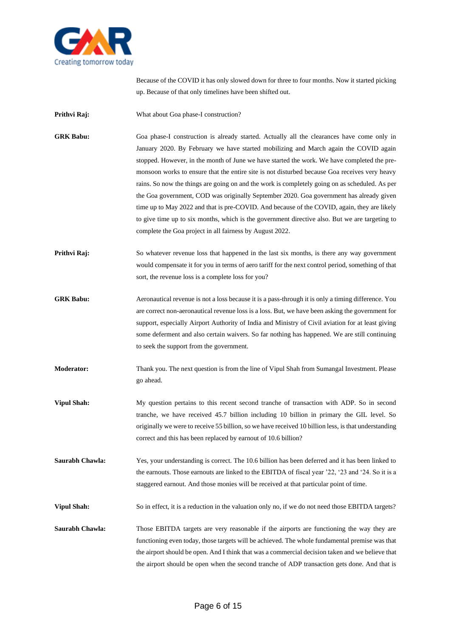

Because of the COVID it has only slowed down for three to four months. Now it started picking up. Because of that only timelines have been shifted out.

**Prithvi Raj:** What about Goa phase-I construction?

**GRK Babu:** Goa phase-I construction is already started. Actually all the clearances have come only in January 2020. By February we have started mobilizing and March again the COVID again stopped. However, in the month of June we have started the work. We have completed the premonsoon works to ensure that the entire site is not disturbed because Goa receives very heavy rains. So now the things are going on and the work is completely going on as scheduled. As per the Goa government, COD was originally September 2020. Goa government has already given time up to May 2022 and that is pre-COVID. And because of the COVID, again, they are likely to give time up to six months, which is the government directive also. But we are targeting to complete the Goa project in all fairness by August 2022.

- **Prithvi Raj:** So whatever revenue loss that happened in the last six months, is there any way government would compensate it for you in terms of aero tariff for the next control period, something of that sort, the revenue loss is a complete loss for you?
- **GRK Babu:** Aeronautical revenue is not a loss because it is a pass-through it is only a timing difference. You are correct non-aeronautical revenue loss is a loss. But, we have been asking the government for support, especially Airport Authority of India and Ministry of Civil aviation for at least giving some deferment and also certain waivers. So far nothing has happened. We are still continuing to seek the support from the government.
- **Moderator:** Thank you. The next question is from the line of Vipul Shah from Sumangal Investment. Please go ahead.
- **Vipul Shah:** My question pertains to this recent second tranche of transaction with ADP. So in second tranche, we have received 45.7 billion including 10 billion in primary the GIL level. So originally we were to receive 55 billion, so we have received 10 billion less, is that understanding correct and this has been replaced by earnout of 10.6 billion?
- **Saurabh Chawla:** Yes, your understanding is correct. The 10.6 billion has been deferred and it has been linked to the earnouts. Those earnouts are linked to the EBITDA of fiscal year '22, '23 and '24. So it is a staggered earnout. And those monies will be received at that particular point of time.

**Vipul Shah:** So in effect, it is a reduction in the valuation only no, if we do not need those EBITDA targets?

**Saurabh Chawla:** Those EBITDA targets are very reasonable if the airports are functioning the way they are functioning even today, those targets will be achieved. The whole fundamental premise was that the airport should be open. And I think that was a commercial decision taken and we believe that the airport should be open when the second tranche of ADP transaction gets done. And that is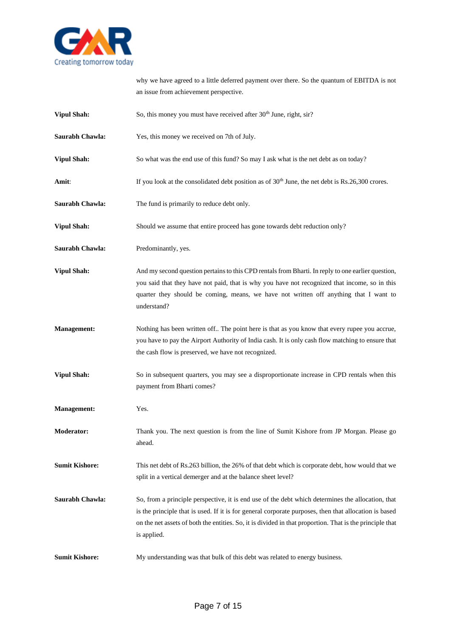

why we have agreed to a little deferred payment over there. So the quantum of EBITDA is not an issue from achievement perspective.

| <b>Vipul Shah:</b>    | So, this money you must have received after 30 <sup>th</sup> June, right, sir?                                                                                                                                                                                                                                                        |
|-----------------------|---------------------------------------------------------------------------------------------------------------------------------------------------------------------------------------------------------------------------------------------------------------------------------------------------------------------------------------|
| Saurabh Chawla:       | Yes, this money we received on 7th of July.                                                                                                                                                                                                                                                                                           |
| <b>Vipul Shah:</b>    | So what was the end use of this fund? So may I ask what is the net debt as on today?                                                                                                                                                                                                                                                  |
| Amit:                 | If you look at the consolidated debt position as of $30th$ June, the net debt is Rs.26,300 crores.                                                                                                                                                                                                                                    |
| Saurabh Chawla:       | The fund is primarily to reduce debt only.                                                                                                                                                                                                                                                                                            |
| <b>Vipul Shah:</b>    | Should we assume that entire proceed has gone towards debt reduction only?                                                                                                                                                                                                                                                            |
| Saurabh Chawla:       | Predominantly, yes.                                                                                                                                                                                                                                                                                                                   |
| <b>Vipul Shah:</b>    | And my second question pertains to this CPD rentals from Bharti. In reply to one earlier question,<br>you said that they have not paid, that is why you have not recognized that income, so in this<br>quarter they should be coming, means, we have not written off anything that I want to<br>understand?                           |
| <b>Management:</b>    | Nothing has been written off The point here is that as you know that every rupee you accrue,<br>you have to pay the Airport Authority of India cash. It is only cash flow matching to ensure that<br>the cash flow is preserved, we have not recognized.                                                                              |
| <b>Vipul Shah:</b>    | So in subsequent quarters, you may see a disproportionate increase in CPD rentals when this<br>payment from Bharti comes?                                                                                                                                                                                                             |
| <b>Management:</b>    | Yes.                                                                                                                                                                                                                                                                                                                                  |
| <b>Moderator:</b>     | Thank you. The next question is from the line of Sumit Kishore from JP Morgan. Please go<br>ahead.                                                                                                                                                                                                                                    |
| <b>Sumit Kishore:</b> | This net debt of Rs.263 billion, the 26% of that debt which is corporate debt, how would that we<br>split in a vertical demerger and at the balance sheet level?                                                                                                                                                                      |
| Saurabh Chawla:       | So, from a principle perspective, it is end use of the debt which determines the allocation, that<br>is the principle that is used. If it is for general corporate purposes, then that allocation is based<br>on the net assets of both the entities. So, it is divided in that proportion. That is the principle that<br>is applied. |
| <b>Sumit Kishore:</b> | My understanding was that bulk of this debt was related to energy business.                                                                                                                                                                                                                                                           |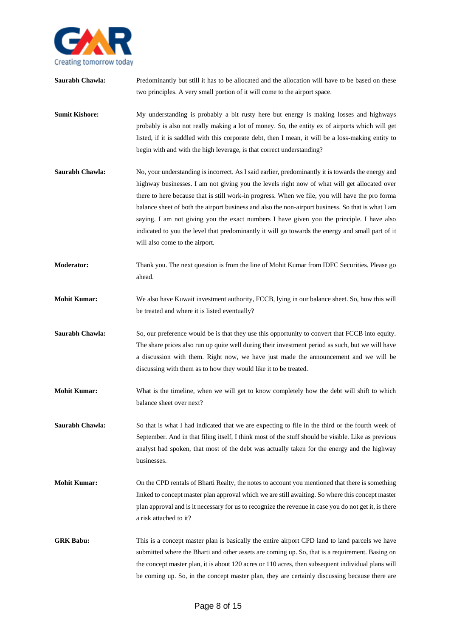

**Saurabh Chawla:** Predominantly but still it has to be allocated and the allocation will have to be based on these two principles. A very small portion of it will come to the airport space. **Sumit Kishore:** My understanding is probably a bit rusty here but energy is making losses and highways probably is also not really making a lot of money. So, the entity ex of airports which will get listed, if it is saddled with this corporate debt, then I mean, it will be a loss-making entity to begin with and with the high leverage, is that correct understanding? **Saurabh Chawla:** No, your understanding is incorrect. As I said earlier, predominantly it is towards the energy and highway businesses. I am not giving you the levels right now of what will get allocated over there to here because that is still work-in progress. When we file, you will have the pro forma balance sheet of both the airport business and also the non-airport business. So that is what I am saying. I am not giving you the exact numbers I have given you the principle. I have also indicated to you the level that predominantly it will go towards the energy and small part of it will also come to the airport. **Moderator:** Thank you. The next question is from the line of Mohit Kumar from IDFC Securities. Please go ahead. **Mohit Kumar:** We also have Kuwait investment authority, FCCB, lying in our balance sheet. So, how this will be treated and where it is listed eventually? **Saurabh Chawla:** So, our preference would be is that they use this opportunity to convert that FCCB into equity. The share prices also run up quite well during their investment period as such, but we will have a discussion with them. Right now, we have just made the announcement and we will be discussing with them as to how they would like it to be treated. **Mohit Kumar:** What is the timeline, when we will get to know completely how the debt will shift to which balance sheet over next? **Saurabh Chawla:** So that is what I had indicated that we are expecting to file in the third or the fourth week of September. And in that filing itself, I think most of the stuff should be visible. Like as previous analyst had spoken, that most of the debt was actually taken for the energy and the highway businesses. **Mohit Kumar:** On the CPD rentals of Bharti Realty, the notes to account you mentioned that there is something linked to concept master plan approval which we are still awaiting. So where this concept master plan approval and is it necessary for us to recognize the revenue in case you do not get it, is there a risk attached to it? **GRK Babu:** This is a concept master plan is basically the entire airport CPD land to land parcels we have submitted where the Bharti and other assets are coming up. So, that is a requirement. Basing on the concept master plan, it is about 120 acres or 110 acres, then subsequent individual plans will be coming up. So, in the concept master plan, they are certainly discussing because there are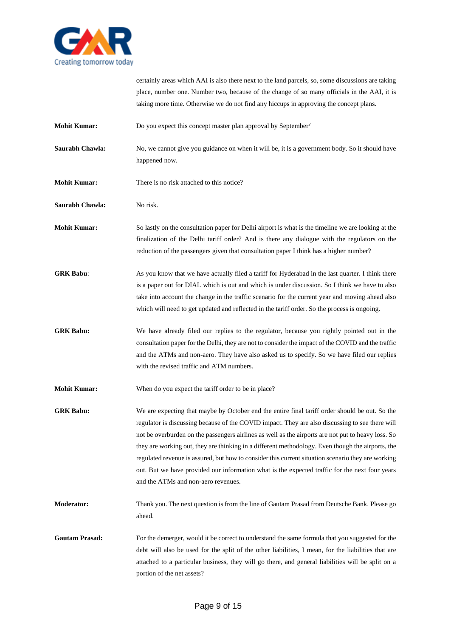

certainly areas which AAI is also there next to the land parcels, so, some discussions are taking place, number one. Number two, because of the change of so many officials in the AAI, it is taking more time. Otherwise we do not find any hiccups in approving the concept plans.

**Mohit Kumar:** Do you expect this concept master plan approval by September<sup>?</sup>

**Saurabh Chawla:** No, we cannot give you guidance on when it will be, it is a government body. So it should have happened now.

**Mohit Kumar:** There is no risk attached to this notice?

**Saurabh Chawla:** No risk.

**Mohit Kumar:** So lastly on the consultation paper for Delhi airport is what is the timeline we are looking at the finalization of the Delhi tariff order? And is there any dialogue with the regulators on the reduction of the passengers given that consultation paper I think has a higher number?

**GRK Babu**: As you know that we have actually filed a tariff for Hyderabad in the last quarter. I think there is a paper out for DIAL which is out and which is under discussion. So I think we have to also take into account the change in the traffic scenario for the current year and moving ahead also which will need to get updated and reflected in the tariff order. So the process is ongoing.

**GRK Babu:** We have already filed our replies to the regulator, because you rightly pointed out in the consultation paper for the Delhi, they are not to consider the impact of the COVID and the traffic and the ATMs and non-aero. They have also asked us to specify. So we have filed our replies with the revised traffic and ATM numbers.

**Mohit Kumar:** When do you expect the tariff order to be in place?

**GRK Babu:** We are expecting that maybe by October end the entire final tariff order should be out. So the regulator is discussing because of the COVID impact. They are also discussing to see there will not be overburden on the passengers airlines as well as the airports are not put to heavy loss. So they are working out, they are thinking in a different methodology. Even though the airports, the regulated revenue is assured, but how to consider this current situation scenario they are working out. But we have provided our information what is the expected traffic for the next four years and the ATMs and non-aero revenues.

**Moderator:** Thank you. The next question is from the line of Gautam Prasad from Deutsche Bank. Please go ahead.

Gautam Prasad: For the demerger, would it be correct to understand the same formula that you suggested for the debt will also be used for the split of the other liabilities, I mean, for the liabilities that are attached to a particular business, they will go there, and general liabilities will be split on a portion of the net assets?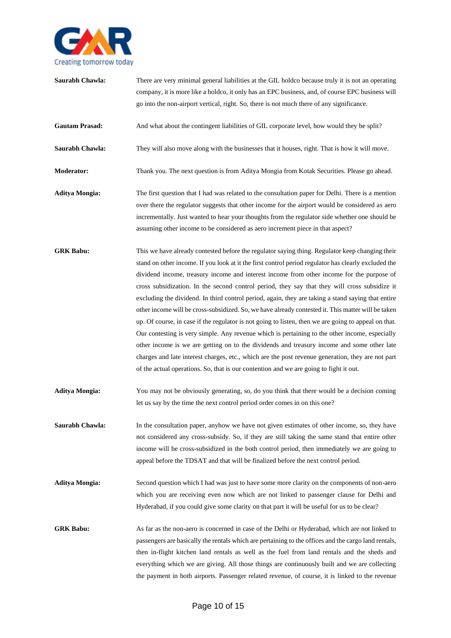

**Saurabh Chawla:** There are very minimal general liabilities at the GIL holdco because truly it is not an operating company, it is more like a holdco, it only has an EPC business, and, of course EPC business will go into the non-airport vertical, right. So, there is not much there of any significance. Gautam Prasad: And what about the contingent liabilities of GIL corporate level, how would they be split? **Saurabh Chawla:** They will also move along with the businesses that it houses, right. That is how it will move. **Moderator:** Thank you. The next question is from Aditya Mongia from Kotak Securities. Please go ahead. **Aditya Mongia:** The first question that I had was related to the consultation paper for Delhi. There is a mention over there the regulator suggests that other income for the airport would be considered as aero incrementally. Just wanted to hear your thoughts from the regulator side whether one should be assuming other income to be considered as aero increment piece in that aspect? GRK Babu: This we have already contested before the regulator saying thing. Regulator keep changing their stand on other income. If you look at it the first control period regulator has clearly excluded the dividend income, treasury income and interest income from other income for the purpose of cross subsidization. In the second control period, they say that they will cross subsidize it excluding the dividend. In third control period, again, they are taking a stand saying that entire other income will be cross-subsidized. So, we have already contested it. This matter will be taken up. Of course, in case if the regulator is not going to listen, then we are going to appeal on that. Our contesting is very simple. Any revenue which is pertaining to the other income, especially other income is we are getting on to the dividends and treasury income and some other late charges and late interest charges, etc., which are the post revenue generation, they are not part of the actual operations. So, that is our contention and we are going to fight it out. **Aditya Mongia:** You may not be obviously generating, so, do you think that there would be a decision coming let us say by the time the next control period order comes in on this one? **Saurabh Chawla:** In the consultation paper, anyhow we have not given estimates of other income, so, they have not considered any cross-subsidy. So, if they are still taking the same stand that entire other income will be cross-subsidized in the both control period, then immediately we are going to appeal before the TDSAT and that will be finalized before the next control period. **Aditya Mongia:** Second question which I had was just to have some more clarity on the components of non-aero which you are receiving even now which are not linked to passenger clause for Delhi and Hyderabad, if you could give some clarity on that part it will be useful for us to be clear? GRK Babu: As far as the non-aero is concerned in case of the Delhi or Hyderabad, which are not linked to passengers are basically the rentals which are pertaining to the offices and the cargo land rentals, then in-flight kitchen land rentals as well as the fuel from land rentals and the sheds and everything which we are giving. All those things are continuously built and we are collecting

the payment in both airports. Passenger related revenue, of course, it is linked to the revenue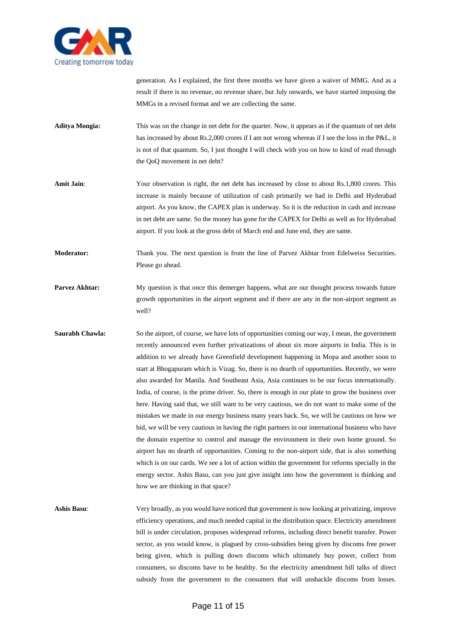

generation. As I explained, the first three months we have given a waiver of MMG. And as a result if there is no revenue, no revenue share, but July onwards, we have started imposing the MMGs in a revised format and we are collecting the same.

- **Aditya Mongia:** This was on the change in net debt for the quarter. Now, it appears as if the quantum of net debt has increased by about Rs.2,000 crores if I am not wrong whereas if I see the loss in the P&L, it is not of that quantum. So, I just thought I will check with you on how to kind of read through the QoQ movement in net debt?
- Amit Jain: Your observation is right, the net debt has increased by close to about Rs.1,800 crores. This increase is mainly because of utilization of cash primarily we had in Delhi and Hyderabad airport. As you know, the CAPEX plan is underway. So it is the reduction in cash and increase in net debt are same. So the money has gone for the CAPEX for Delhi as well as for Hyderabad airport. If you look at the gross debt of March end and June end, they are same.
- **Moderator:** Thank you. The next question is from the line of Parvez Akhtar from Edelweiss Securities. Please go ahead.
- **Parvez Akhtar:** My question is that once this demerger happens, what are our thought process towards future growth opportunities in the airport segment and if there are any in the non-airport segment as well?
- **Saurabh Chawla:** So the airport, of course, we have lots of opportunities coming our way, I mean, the government recently announced even further privatizations of about six more airports in India. This is in addition to we already have Greenfield development happening in Mopa and another soon to start at Bhogapuram which is Vizag. So, there is no dearth of opportunities. Recently, we were also awarded for Manila. And Southeast Asia, Asia continues to be our focus internationally. India, of course, is the prime driver. So, there is enough in our plate to grow the business over here. Having said that, we still want to be very cautious, we do not want to make some of the mistakes we made in our energy business many years back. So, we will be cautious on how we bid, we will be very cautious in having the right partners in our international business who have the domain expertise to control and manage the environment in their own home ground. So airport has no dearth of opportunities. Coming to the non-airport side, that is also something which is on our cards. We see a lot of action within the government for reforms specially in the energy sector. Ashis Basu, can you just give insight into how the government is thinking and how we are thinking in that space?
- **Ashis Basu**: Very broadly, as you would have noticed that government is now looking at privatizing, improve efficiency operations, and much needed capital in the distribution space. Electricity amendment bill is under circulation, proposes widespread reforms, including direct benefit transfer. Power sector, as you would know, is plagued by cross-subsidies being given by discoms free power being given, which is pulling down discoms which ultimately buy power, collect from consumers, so discoms have to be healthy. So the electricity amendment bill talks of direct subsidy from the government to the consumers that will unshackle discoms from losses.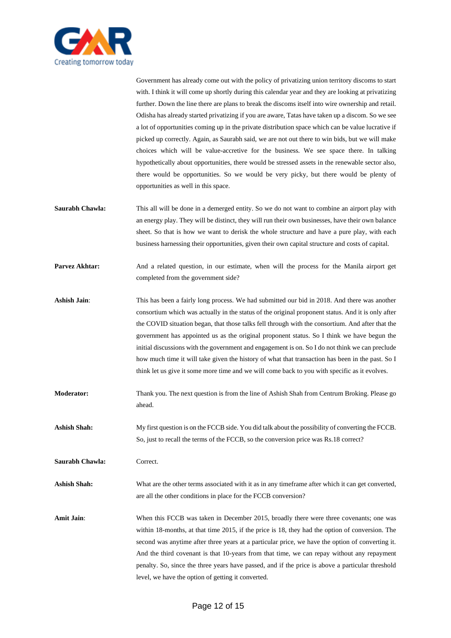

Government has already come out with the policy of privatizing union territory discoms to start with. I think it will come up shortly during this calendar year and they are looking at privatizing further. Down the line there are plans to break the discoms itself into wire ownership and retail. Odisha has already started privatizing if you are aware, Tatas have taken up a discom. So we see a lot of opportunities coming up in the private distribution space which can be value lucrative if picked up correctly. Again, as Saurabh said, we are not out there to win bids, but we will make choices which will be value-accretive for the business. We see space there. In talking hypothetically about opportunities, there would be stressed assets in the renewable sector also, there would be opportunities. So we would be very picky, but there would be plenty of opportunities as well in this space.

- **Saurabh Chawla:** This all will be done in a demerged entity. So we do not want to combine an airport play with an energy play. They will be distinct, they will run their own businesses, have their own balance sheet. So that is how we want to derisk the whole structure and have a pure play, with each business harnessing their opportunities, given their own capital structure and costs of capital.
- Parvez Akhtar: And a related question, in our estimate, when will the process for the Manila airport get completed from the government side?
- **Ashish Jain**: This has been a fairly long process. We had submitted our bid in 2018. And there was another consortium which was actually in the status of the original proponent status. And it is only after the COVID situation began, that those talks fell through with the consortium. And after that the government has appointed us as the original proponent status. So I think we have begun the initial discussions with the government and engagement is on. So I do not think we can preclude how much time it will take given the history of what that transaction has been in the past. So I think let us give it some more time and we will come back to you with specific as it evolves.
- **Moderator:** Thank you. The next question is from the line of Ashish Shah from Centrum Broking. Please go ahead.
- **Ashish Shah:** My first question is on the FCCB side. You did talk about the possibility of converting the FCCB. So, just to recall the terms of the FCCB, so the conversion price was Rs.18 correct?

Saurabh Chawla: Correct.

**Ashish Shah:** What are the other terms associated with it as in any timeframe after which it can get converted, are all the other conditions in place for the FCCB conversion?

Amit Jain: When this FCCB was taken in December 2015, broadly there were three covenants; one was within 18-months, at that time 2015, if the price is 18, they had the option of conversion. The second was anytime after three years at a particular price, we have the option of converting it. And the third covenant is that 10-years from that time, we can repay without any repayment penalty. So, since the three years have passed, and if the price is above a particular threshold level, we have the option of getting it converted.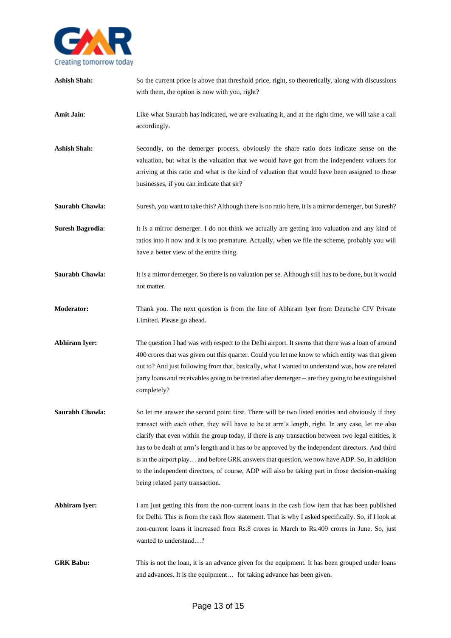

| <b>Ashish Shah:</b>     | So the current price is above that threshold price, right, so theoretically, along with discussions<br>with them, the option is now with you, right?                                                                                                                                                                                                                                                                                                                                                                                                                                                                                                    |
|-------------------------|---------------------------------------------------------------------------------------------------------------------------------------------------------------------------------------------------------------------------------------------------------------------------------------------------------------------------------------------------------------------------------------------------------------------------------------------------------------------------------------------------------------------------------------------------------------------------------------------------------------------------------------------------------|
| Amit Jain:              | Like what Saurabh has indicated, we are evaluating it, and at the right time, we will take a call<br>accordingly.                                                                                                                                                                                                                                                                                                                                                                                                                                                                                                                                       |
| <b>Ashish Shah:</b>     | Secondly, on the demerger process, obviously the share ratio does indicate sense on the<br>valuation, but what is the valuation that we would have got from the independent valuers for<br>arriving at this ratio and what is the kind of valuation that would have been assigned to these<br>businesses, if you can indicate that sir?                                                                                                                                                                                                                                                                                                                 |
| Saurabh Chawla:         | Suresh, you want to take this? Although there is no ratio here, it is a mirror demerger, but Suresh?                                                                                                                                                                                                                                                                                                                                                                                                                                                                                                                                                    |
| <b>Suresh Bagrodia:</b> | It is a mirror demerger. I do not think we actually are getting into valuation and any kind of<br>ratios into it now and it is too premature. Actually, when we file the scheme, probably you will<br>have a better view of the entire thing.                                                                                                                                                                                                                                                                                                                                                                                                           |
| Saurabh Chawla:         | It is a mirror demerger. So there is no valuation per se. Although still has to be done, but it would<br>not matter.                                                                                                                                                                                                                                                                                                                                                                                                                                                                                                                                    |
| Moderator:              | Thank you. The next question is from the line of Abhiram Iyer from Deutsche CIV Private<br>Limited. Please go ahead.                                                                                                                                                                                                                                                                                                                                                                                                                                                                                                                                    |
| <b>Abhiram Iyer:</b>    | The question I had was with respect to the Delhi airport. It seems that there was a loan of around<br>400 crores that was given out this quarter. Could you let me know to which entity was that given<br>out to? And just following from that, basically, what I wanted to understand was, how are related<br>party loans and receivables going to be treated after demerger -- are they going to be extinguished<br>completely?                                                                                                                                                                                                                       |
| Saurabh Chawla:         | So let me answer the second point first. There will be two listed entities and obviously if they<br>transact with each other, they will have to be at arm's length, right. In any case, let me also<br>clarify that even within the group today, if there is any transaction between two legal entities, it<br>has to be dealt at arm's length and it has to be approved by the independent directors. And third<br>is in the airport play and before GRK answers that question, we now have ADP. So, in addition<br>to the independent directors, of course, ADP will also be taking part in those decision-making<br>being related party transaction. |
| <b>Abhiram Iyer:</b>    | I am just getting this from the non-current loans in the cash flow item that has been published<br>for Delhi. This is from the cash flow statement. That is why I asked specifically. So, if I look at<br>non-current loans it increased from Rs.8 crores in March to Rs.409 crores in June. So, just<br>wanted to understand?                                                                                                                                                                                                                                                                                                                          |
| <b>GRK Babu:</b>        | This is not the loan, it is an advance given for the equipment. It has been grouped under loans<br>and advances. It is the equipment for taking advance has been given.                                                                                                                                                                                                                                                                                                                                                                                                                                                                                 |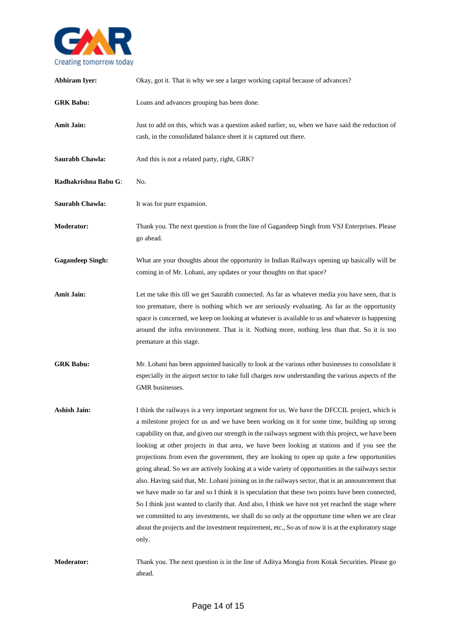

| <b>Abhiram Iyer:</b>    | Okay, got it. That is why we see a larger working capital because of advances?                                                                                                                                                                                                                                                                                                                                                                                                                                                                                                                                                                                                                                                                                                                                                                                                                                                                                                                                                                                                                                                       |
|-------------------------|--------------------------------------------------------------------------------------------------------------------------------------------------------------------------------------------------------------------------------------------------------------------------------------------------------------------------------------------------------------------------------------------------------------------------------------------------------------------------------------------------------------------------------------------------------------------------------------------------------------------------------------------------------------------------------------------------------------------------------------------------------------------------------------------------------------------------------------------------------------------------------------------------------------------------------------------------------------------------------------------------------------------------------------------------------------------------------------------------------------------------------------|
| <b>GRK</b> Babu:        | Loans and advances grouping has been done.                                                                                                                                                                                                                                                                                                                                                                                                                                                                                                                                                                                                                                                                                                                                                                                                                                                                                                                                                                                                                                                                                           |
| <b>Amit Jain:</b>       | Just to add on this, which was a question asked earlier, so, when we have said the reduction of<br>cash, in the consolidated balance sheet it is captured out there.                                                                                                                                                                                                                                                                                                                                                                                                                                                                                                                                                                                                                                                                                                                                                                                                                                                                                                                                                                 |
| Saurabh Chawla:         | And this is not a related party, right, GRK?                                                                                                                                                                                                                                                                                                                                                                                                                                                                                                                                                                                                                                                                                                                                                                                                                                                                                                                                                                                                                                                                                         |
| Radhakrishna Babu G:    | No.                                                                                                                                                                                                                                                                                                                                                                                                                                                                                                                                                                                                                                                                                                                                                                                                                                                                                                                                                                                                                                                                                                                                  |
| Saurabh Chawla:         | It was for pure expansion.                                                                                                                                                                                                                                                                                                                                                                                                                                                                                                                                                                                                                                                                                                                                                                                                                                                                                                                                                                                                                                                                                                           |
| <b>Moderator:</b>       | Thank you. The next question is from the line of Gagandeep Singh from VSJ Enterprises. Please<br>go ahead.                                                                                                                                                                                                                                                                                                                                                                                                                                                                                                                                                                                                                                                                                                                                                                                                                                                                                                                                                                                                                           |
| <b>Gagandeep Singh:</b> | What are your thoughts about the opportunity in Indian Railways opening up basically will be<br>coming in of Mr. Lohani, any updates or your thoughts on that space?                                                                                                                                                                                                                                                                                                                                                                                                                                                                                                                                                                                                                                                                                                                                                                                                                                                                                                                                                                 |
| <b>Amit Jain:</b>       | Let me take this till we get Saurabh connected. As far as whatever media you have seen, that is<br>too premature, there is nothing which we are seriously evaluating. As far as the opportunity<br>space is concerned, we keep on looking at whatever is available to us and whatever is happening<br>around the infra environment. That is it. Nothing more, nothing less than that. So it is too<br>premature at this stage.                                                                                                                                                                                                                                                                                                                                                                                                                                                                                                                                                                                                                                                                                                       |
| <b>GRK</b> Babu:        | Mr. Lohani has been appointed basically to look at the various other businesses to consolidate it<br>especially in the airport sector to take full charges now understanding the various aspects of the<br>GMR businesses.                                                                                                                                                                                                                                                                                                                                                                                                                                                                                                                                                                                                                                                                                                                                                                                                                                                                                                           |
| <b>Ashish Jain:</b>     | I think the railways is a very important segment for us. We have the DFCCIL project, which is<br>a milestone project for us and we have been working on it for some time, building up strong<br>capability on that, and given our strength in the railways segment with this project, we have been<br>looking at other projects in that area, we have been looking at stations and if you see the<br>projections from even the government, they are looking to open up quite a few opportunities<br>going ahead. So we are actively looking at a wide variety of opportunities in the railways sector<br>also. Having said that, Mr. Lohani joining us in the railways sector, that is an announcement that<br>we have made so far and so I think it is speculation that these two points have been connected,<br>So I think just wanted to clarify that. And also, I think we have not yet reached the stage where<br>we committed to any investments, we shall do so only at the opportune time when we are clear<br>about the projects and the investment requirement, etc., So as of now it is at the exploratory stage<br>only. |
| <b>Moderator:</b>       | Thank you. The next question is in the line of Aditya Mongia from Kotak Securities. Please go<br>ahead.                                                                                                                                                                                                                                                                                                                                                                                                                                                                                                                                                                                                                                                                                                                                                                                                                                                                                                                                                                                                                              |